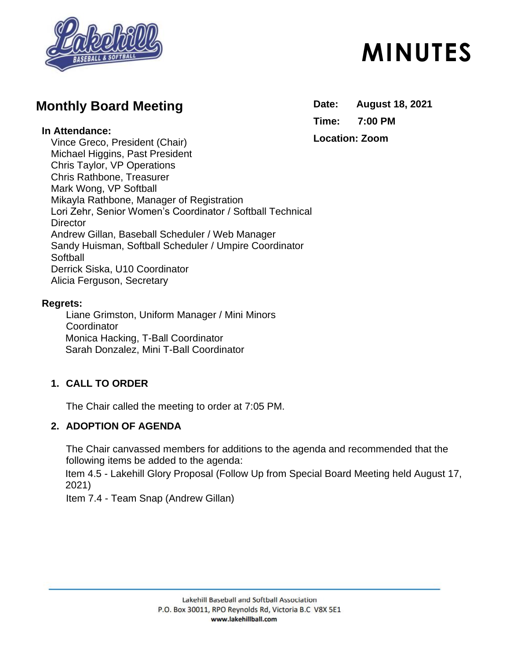

# **Monthly Board Meeting**

#### **In Attendance:**

Vince Greco, President (Chair) Michael Higgins, Past President Chris Taylor, VP Operations Chris Rathbone, Treasurer Mark Wong, VP Softball Mikayla Rathbone, Manager of Registration Lori Zehr, Senior Women's Coordinator / Softball Technical **Director** Andrew Gillan, Baseball Scheduler / Web Manager Sandy Huisman, Softball Scheduler / Umpire Coordinator **Softball** Derrick Siska, U10 Coordinator Alicia Ferguson, Secretary

#### **Regrets:**

Liane Grimston, Uniform Manager / Mini Minors **Coordinator** Monica Hacking, T-Ball Coordinator Sarah Donzalez, Mini T-Ball Coordinator

# **1. CALL TO ORDER**

The Chair called the meeting to order at 7:05 PM.

## **2. ADOPTION OF AGENDA**

The Chair canvassed members for additions to the agenda and recommended that the following items be added to the agenda:

Item 4.5 - Lakehill Glory Proposal (Follow Up from Special Board Meeting held August 17, 2021)

Item 7.4 - Team Snap (Andrew Gillan)

# **MINUTES**

**Date: August 18, 2021 Time: 7:00 PM Location: Zoom**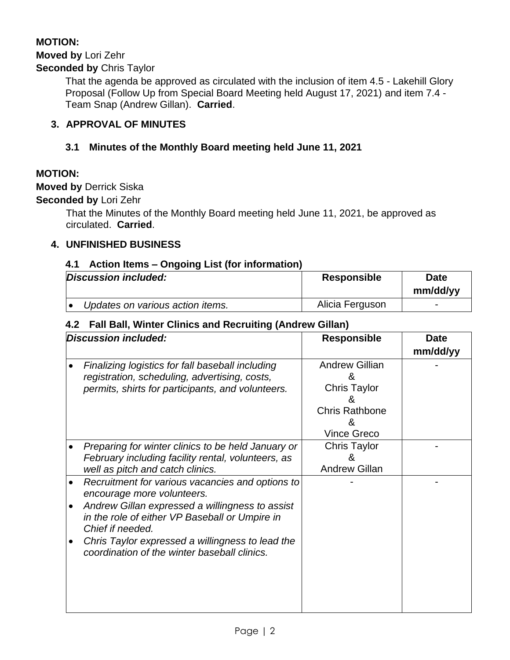# **MOTION:**

## **Moved by** Lori Zehr

#### **Seconded by** Chris Taylor

That the agenda be approved as circulated with the inclusion of item 4.5 - Lakehill Glory Proposal (Follow Up from Special Board Meeting held August 17, 2021) and item 7.4 - Team Snap (Andrew Gillan). **Carried**.

#### **3. APPROVAL OF MINUTES**

#### **3.1 Minutes of the Monthly Board meeting held June 11, 2021**

#### **MOTION:**

**Moved by** Derrick Siska

**Seconded by** Lori Zehr

That the Minutes of the Monthly Board meeting held June 11, 2021, be approved as circulated. **Carried**.

#### **4. UNFINISHED BUSINESS**

#### **4.1 Action Items – Ongoing List (for information)**

| Discussion included:             | <b>Responsible</b> | <b>Date</b><br>mm/dd/yy  |
|----------------------------------|--------------------|--------------------------|
| Updates on various action items. | Alicia Ferguson    | $\overline{\phantom{0}}$ |

#### **4.2 Fall Ball, Winter Clinics and Recruiting (Andrew Gillan)**

| Discussion included: |                                                                                                                                                                                                         | <b>Responsible</b>                                                                                         | <b>Date</b><br>mm/dd/yy |
|----------------------|---------------------------------------------------------------------------------------------------------------------------------------------------------------------------------------------------------|------------------------------------------------------------------------------------------------------------|-------------------------|
|                      | Finalizing logistics for fall baseball including<br>registration, scheduling, advertising, costs,<br>permits, shirts for participants, and volunteers.                                                  | <b>Andrew Gillian</b><br>&<br><b>Chris Taylor</b><br>&<br><b>Chris Rathbone</b><br>&<br><b>Vince Greco</b> |                         |
|                      | Preparing for winter clinics to be held January or<br>February including facility rental, volunteers, as<br>well as pitch and catch clinics.                                                            | <b>Chris Taylor</b><br>&<br><b>Andrew Gillan</b>                                                           |                         |
|                      | Recruitment for various vacancies and options to<br>encourage more volunteers.<br>Andrew Gillan expressed a willingness to assist<br>in the role of either VP Baseball or Umpire in<br>Chief if needed. |                                                                                                            |                         |
|                      | Chris Taylor expressed a willingness to lead the<br>coordination of the winter baseball clinics.                                                                                                        |                                                                                                            |                         |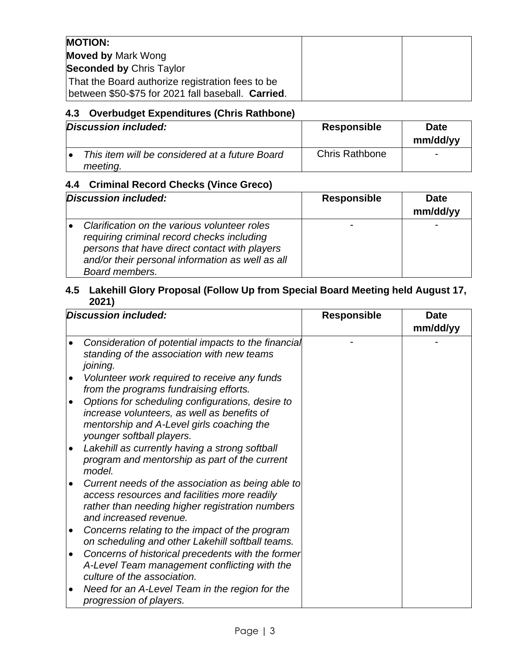| <b>MOTION:</b>                                                                                         |  |
|--------------------------------------------------------------------------------------------------------|--|
| <b>Moved by Mark Wong</b>                                                                              |  |
| <b>Seconded by Chris Taylor</b>                                                                        |  |
| That the Board authorize registration fees to be<br>between \$50-\$75 for 2021 fall baseball. Carried. |  |

# **4.3 Overbudget Expenditures (Chris Rathbone)**

| Discussion included:                                       | <b>Responsible</b>    | <b>Date</b><br>mm/dd/yy  |
|------------------------------------------------------------|-----------------------|--------------------------|
| This item will be considered at a future Board<br>meeting. | <b>Chris Rathbone</b> | $\overline{\phantom{0}}$ |

# **4.4 Criminal Record Checks (Vince Greco)**

| Discussion included:                                                                                                                                                                                              | <b>Responsible</b> | <b>Date</b><br>mm/dd/yy |
|-------------------------------------------------------------------------------------------------------------------------------------------------------------------------------------------------------------------|--------------------|-------------------------|
| Clarification on the various volunteer roles<br>requiring criminal record checks including<br>persons that have direct contact with players<br>and/or their personal information as well as all<br>Board members. |                    |                         |

#### **4.5 Lakehill Glory Proposal (Follow Up from Special Board Meeting held August 17, 2021)**

|           | <b>Discussion included:</b>                                                                                                                                                                                   | <b>Responsible</b> | <b>Date</b><br>mm/dd/yy |
|-----------|---------------------------------------------------------------------------------------------------------------------------------------------------------------------------------------------------------------|--------------------|-------------------------|
|           | Consideration of potential impacts to the financial<br>standing of the association with new teams<br>joining.                                                                                                 |                    |                         |
| $\bullet$ | Volunteer work required to receive any funds<br>from the programs fundraising efforts.                                                                                                                        |                    |                         |
| $\bullet$ | Options for scheduling configurations, desire to<br>increase volunteers, as well as benefits of<br>mentorship and A-Level girls coaching the<br>younger softball players.                                     |                    |                         |
| $\bullet$ | Lakehill as currently having a strong softball<br>program and mentorship as part of the current<br>model.                                                                                                     |                    |                         |
|           | Current needs of the association as being able to<br>access resources and facilities more readily<br>rather than needing higher registration numbers<br>and increased revenue.                                |                    |                         |
| ٠         | Concerns relating to the impact of the program<br>on scheduling and other Lakehill softball teams.                                                                                                            |                    |                         |
| ٠<br>٠    | Concerns of historical precedents with the former<br>A-Level Team management conflicting with the<br>culture of the association.<br>Need for an A-Level Team in the region for the<br>progression of players. |                    |                         |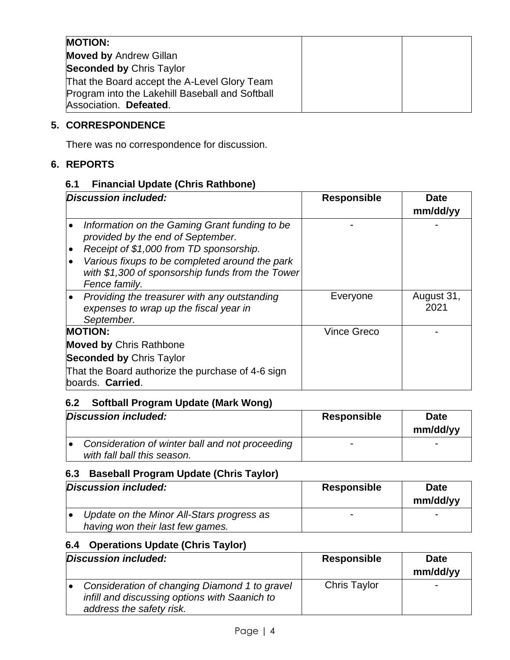| <b>MOTION:</b>                                  |  |
|-------------------------------------------------|--|
| <b>Moved by Andrew Gillan</b>                   |  |
| <b>Seconded by Chris Taylor</b>                 |  |
| That the Board accept the A-Level Glory Team    |  |
| Program into the Lakehill Baseball and Softball |  |
| Association. Defeated.                          |  |

# **5. CORRESPONDENCE**

There was no correspondence for discussion.

#### **6. REPORTS**

#### **6.1 Financial Update (Chris Rathbone)**

| Discussion included:                                                                                                                                                                                                                                              | <b>Responsible</b> | <b>Date</b><br>mm/dd/yy |
|-------------------------------------------------------------------------------------------------------------------------------------------------------------------------------------------------------------------------------------------------------------------|--------------------|-------------------------|
| Information on the Gaming Grant funding to be<br>provided by the end of September.<br>Receipt of \$1,000 from TD sponsorship.<br>$\bullet$<br>Various fixups to be completed around the park<br>with \$1,300 of sponsorship funds from the Tower<br>Fence family. |                    |                         |
| Providing the treasurer with any outstanding<br>expenses to wrap up the fiscal year in<br>September.                                                                                                                                                              | Everyone           | August 31,<br>2021      |
| <b>MOTION:</b>                                                                                                                                                                                                                                                    | <b>Vince Greco</b> |                         |
| <b>Moved by Chris Rathbone</b>                                                                                                                                                                                                                                    |                    |                         |
| <b>Seconded by Chris Taylor</b>                                                                                                                                                                                                                                   |                    |                         |
| That the Board authorize the purchase of 4-6 sign<br>boards. Carried.                                                                                                                                                                                             |                    |                         |

# **6.2 Softball Program Update (Mark Wong)**

| Discussion included:                            | <b>Responsible</b> | <b>Date</b> |
|-------------------------------------------------|--------------------|-------------|
|                                                 |                    | mm/dd/yy    |
| Consideration of winter ball and not proceeding |                    | -           |
| with fall ball this season.                     |                    |             |

# **6.3 Baseball Program Update (Chris Taylor)**

| Discussion included:                                                          | <b>Responsible</b>       | <b>Date</b><br>mm/dd/yy |
|-------------------------------------------------------------------------------|--------------------------|-------------------------|
| Update on the Minor All-Stars progress as<br>having won their last few games. | $\overline{\phantom{0}}$ | -                       |

## **6.4 Operations Update (Chris Taylor)**

| Discussion included: |                                                                                                                            | <b>Responsible</b>  | <b>Date</b><br>mm/dd/yy  |
|----------------------|----------------------------------------------------------------------------------------------------------------------------|---------------------|--------------------------|
|                      | Consideration of changing Diamond 1 to gravel<br>infill and discussing options with Saanich to<br>address the safety risk. | <b>Chris Taylor</b> | $\overline{\phantom{0}}$ |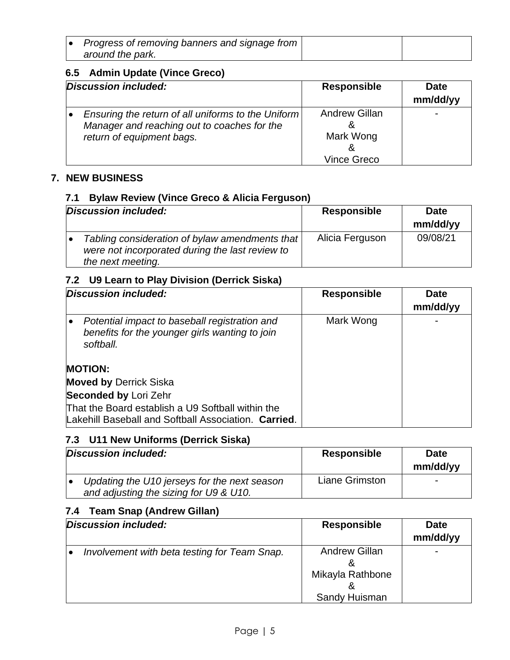| Progress of removing banners and signage from |  |
|-----------------------------------------------|--|
| around the park.                              |  |

#### **6.5 Admin Update (Vince Greco)**

| Discussion included: |                                                                                                                                | <b>Responsible</b>                | <b>Date</b><br>mm/dd/yy |
|----------------------|--------------------------------------------------------------------------------------------------------------------------------|-----------------------------------|-------------------------|
|                      | Ensuring the return of all uniforms to the Uniform<br>Manager and reaching out to coaches for the<br>return of equipment bags. | <b>Andrew Gillan</b><br>Mark Wong |                         |
|                      |                                                                                                                                | <b>Vince Greco</b>                |                         |

#### **7. NEW BUSINESS**

#### **7.1 Bylaw Review (Vince Greco & Alicia Ferguson)**

| Discussion included:                                                                                                   | <b>Responsible</b> | <b>Date</b><br>mm/dd/yy |
|------------------------------------------------------------------------------------------------------------------------|--------------------|-------------------------|
| Tabling consideration of bylaw amendments that<br>were not incorporated during the last review to<br>the next meeting. | Alicia Ferguson    | 09/08/21                |

#### **7.2 U9 Learn to Play Division (Derrick Siska)**

| Discussion included:                                                                                         | <b>Responsible</b> | <b>Date</b><br>mm/dd/yy |
|--------------------------------------------------------------------------------------------------------------|--------------------|-------------------------|
| Potential impact to baseball registration and<br>benefits for the younger girls wanting to join<br>softball. | Mark Wong          |                         |
| <b>MOTION:</b>                                                                                               |                    |                         |
| <b>Moved by Derrick Siska</b>                                                                                |                    |                         |
| <b>Seconded by Lori Zehr</b>                                                                                 |                    |                         |
| That the Board establish a U9 Softball within the<br>Lakehill Baseball and Softball Association. Carried.    |                    |                         |

# **7.3 U11 New Uniforms (Derrick Siska)**

| Discussion included: |                                                                                        | <b>Responsible</b> | <b>Date</b><br>mm/dd/yy  |
|----------------------|----------------------------------------------------------------------------------------|--------------------|--------------------------|
|                      | Updating the U10 jerseys for the next season<br>and adjusting the sizing for U9 & U10. | Liane Grimston     | $\overline{\phantom{0}}$ |

#### **7.4 Team Snap (Andrew Gillan)**

| Discussion included:                         | <b>Responsible</b>                                             | <b>Date</b><br>mm/dd/yy |
|----------------------------------------------|----------------------------------------------------------------|-------------------------|
| Involvement with beta testing for Team Snap. | <b>Andrew Gillan</b><br>ă<br>Mikayla Rathbone<br>Sandy Huisman |                         |